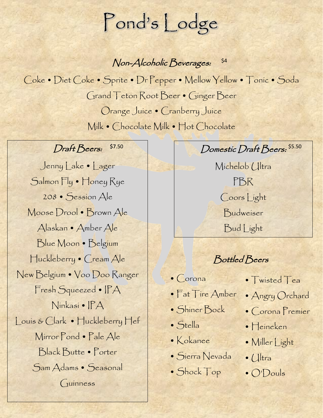# Pond's Lodge

Non-Alcoholic Beverages: \$4

Coke • Diet Coke • Sprite • Dr Pepper • Mellow Yellow • Tonic • Soda Grand Teton Root Beer • Ginger Beer Orange Juice • Cranberry Juice Milk • Chocolate Milk • Hot Chocolate

#### Draft Beers:

Jenny Lake • Lager Salmon Fly • Honey Rye 208 • Session Ale Moose Drool • Brown Ale Alaskan • Amber Ale Blue Moon • Belgium Huckleberry • Cream Ale New Belgium • Voo Doo Ranger Fresh Squeezed • IPA Ninkasi • IPA Louis & Clark • Huckleberry Hef Mirror Pond • Pale Ale Black Butte • Porter Sam Adams • Seasonal Guinness

 $\mathcal{D}$  Domestic Draft Beers:  $\mathcal{S}^{5.50}$ 

Michelob Ultra PBR Coors Light Budweiser Bud Light

Bottled Beers

- Corona
- Fat Tire Amber
- Shiner Bock
- Stella
- Kokanee
- Sierra Nevada
- Shock Top
- Twisted Tea
- Angry Orchard
- Corona Premier
- Heineken
- Miller Light
- $\bullet$  ( $\parallel$ tra
- O'Douls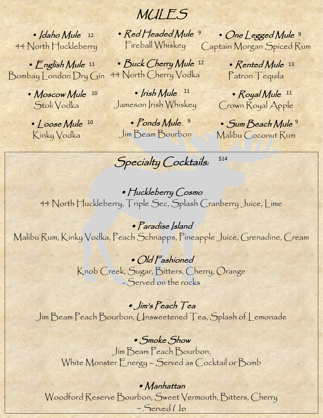• Idaho Mule 12 44 North Huckleberry

• English Mule 11 Bombay London Dry Gin

> • Moscow Mule 10 Stoli Vodka

• Loose Mule 10 Kinky Vodka

MULES

• Red Headed Mule<sup>9</sup> Fireball Whiskey

• Buck Cherry Mule 12 44 North Cherry Vodka

 $\cdot$  *Irish Mule*  $11$ Jameson Irish Whiskey

• Ponds Mule<sup>9</sup> Jim Beam Bourbon

• One Legged Mule 9 Captain Morgan Spiced Rum

> • Rented Mule 13 Patron Tequila

• Royal Mule 11 Crown Royal Apple

• Sum Beach Mule 9 Malibu Coconut Rum

\$14

Specialty Cocktails:

• Huckleberry Cosmo 44 North Huckleberry, Triple Sec, Splash Cranberry Juice, Lime

• Paradise Island Malibu Rum, Kinky Vodka, Peach Schnapps, Pineapple Juice, Grenadine, Cream

> • Old Fashioned Knob Creek, Sugar, Bitters, Cherry, Orange - Served on the rocks

• Jim's Peach Tea Jim Beam Peach Bourbon, Unsweetened Tea, Splash of Lemonade

• Smoke Show Jim Beam Peach Bourbon, White Monster Energy – Served as Cocktail or Bomb

#### • Manhattan

Woodford Reserve Bourbon, Sweet Vermouth, Bitters, Cherry ~ Served (Jp